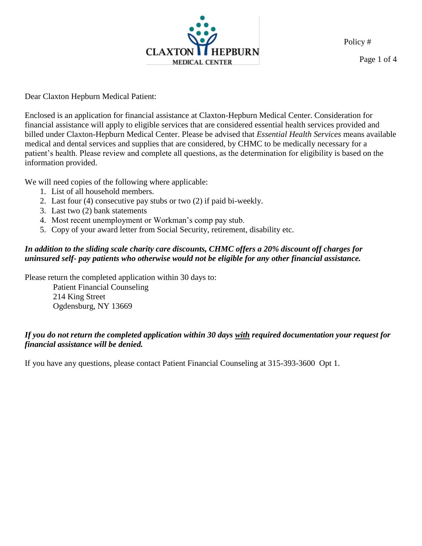

Page 1 of 4

Dear Claxton Hepburn Medical Patient:

Enclosed is an application for financial assistance at Claxton-Hepburn Medical Center. Consideration for financial assistance will apply to eligible services that are considered essential health services provided and billed under Claxton-Hepburn Medical Center. Please be advised that *Essential Health Services* means available medical and dental services and supplies that are considered, by CHMC to be medically necessary for a patient's health. Please review and complete all questions, as the determination for eligibility is based on the information provided.

We will need copies of the following where applicable:

- 1. List of all household members.
- 2. Last four (4) consecutive pay stubs or two (2) if paid bi-weekly.
- 3. Last two (2) bank statements
- 4. Most recent unemployment or Workman's comp pay stub.
- 5. Copy of your award letter from Social Security, retirement, disability etc.

## *In addition to the sliding scale charity care discounts, CHMC offers a 20% discount off charges for uninsured self- pay patients who otherwise would not be eligible for any other financial assistance.*

Please return the completed application within 30 days to:

Patient Financial Counseling 214 King Street Ogdensburg, NY 13669

## *If you do not return the completed application within 30 days with required documentation your request for financial assistance will be denied.*

If you have any questions, please contact Patient Financial Counseling at 315-393-3600 Opt 1.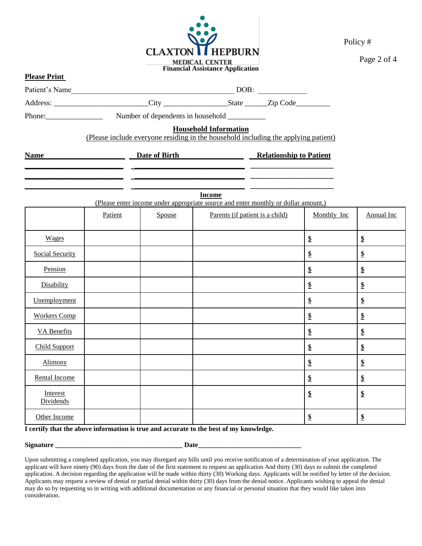

Page 2 of 4

| <b>Please Print</b>    |         |        | <b>Financial Assistance Application</b>                                                                            |                    |                            |  |  |
|------------------------|---------|--------|--------------------------------------------------------------------------------------------------------------------|--------------------|----------------------------|--|--|
|                        |         |        |                                                                                                                    |                    |                            |  |  |
|                        |         |        | Address: __________________________City ________________________State ________Zip Code_____________                |                    |                            |  |  |
|                        |         |        |                                                                                                                    |                    |                            |  |  |
|                        |         |        | <b>Household Information</b><br>(Please include everyone residing in the household including the applying patient) |                    |                            |  |  |
| Name                   |         |        | <b>Example 18 Date of Birth Relationship to Patient</b>                                                            |                    |                            |  |  |
|                        |         |        |                                                                                                                    |                    |                            |  |  |
|                        |         |        | <b>Income</b><br>(Please enter income under appropriate source and enter monthly or dollar amount.)                |                    |                            |  |  |
|                        | Patient | Spouse | Parents (if patient is a child)                                                                                    | Monthly Inc        | Annual Inc                 |  |  |
| Wages                  |         |        |                                                                                                                    | $\pmb{\mathbb{S}}$ | $\boldsymbol{\mathsf{S}}$  |  |  |
| <b>Social Security</b> |         |        |                                                                                                                    | $\pmb{\mathbb{S}}$ | $\boldsymbol{\mathsf{\$}}$ |  |  |
| Pension                |         |        |                                                                                                                    | $\mathbf{\$\}$     | $\mathbf{\$\}$             |  |  |
| Disability             |         |        |                                                                                                                    | $\pmb{\mathbb{S}}$ | $\mathbf{\$\}$             |  |  |
| Unemployment           |         |        |                                                                                                                    | $\pmb{\mathbb{S}}$ | $\boldsymbol{\mathsf{\$}}$ |  |  |
| <b>Workers Comp</b>    |         |        |                                                                                                                    | $\pmb{\mathbb{S}}$ | $\boldsymbol{\mathsf{\$}}$ |  |  |
| <b>VA</b> Benefits     |         |        |                                                                                                                    | $\pmb{\mathbb{S}}$ | $\mathbf{\$\}$             |  |  |
| <b>Child Support</b>   |         |        |                                                                                                                    | $\pmb{\mathbb{S}}$ | $\boldsymbol{\mathsf{S}}$  |  |  |
| Alimony                |         |        |                                                                                                                    | $\pmb{\mathbb{S}}$ | $\boldsymbol{\mathsf{S}}$  |  |  |
| Rental Income          |         |        |                                                                                                                    | $\pmb{\mathbb{S}}$ | $\boldsymbol{\mathsf{\$}}$ |  |  |
| Interest<br>Dividends  |         |        |                                                                                                                    | $\pmb{\mathbb{S}}$ | $\frac{1}{2}$              |  |  |
| Other Income           |         |        |                                                                                                                    | \$                 | $\mathbf{\$\}$             |  |  |

**I certify that the above information is true and accurate to the best of my knowledge.**

**Signature \_\_\_\_\_\_\_\_\_\_\_\_\_\_\_\_\_\_\_\_\_\_\_\_\_\_\_\_\_\_\_\_\_\_\_\_\_ Date\_\_\_\_\_\_\_\_\_\_\_\_\_\_\_\_\_\_\_\_\_\_\_\_\_\_\_\_\_\_**

Upon submitting a completed application, you may disregard any bills until you receive notification of a determination of your application. The applicant will have ninety (90) days from the date of the first statement to request an application And thirty (30) days to submit the completed application. A decision regarding the application will be made within thirty (30) Working days. Applicants will be notified by letter of the decision. Applicants may request a review of denial or partial denial within thirty (30) days from the denial notice. Applicants wishing to appeal the denial may do so by requesting so in writing with additional documentation or any financial or personal situation that they would like taken into consideration.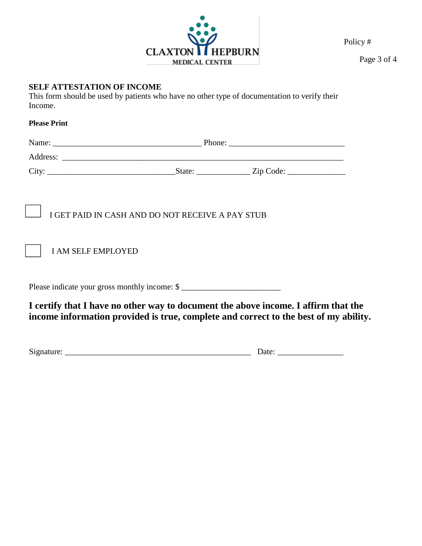

Page 3 of 4

# **SELF ATTESTATION OF INCOME**

This form should be used by patients who have no other type of documentation to verify their Income.

#### **Please Print**

| <b>I AM SELF EMPLOYED</b>                     | I GET PAID IN CASH AND DO NOT RECEIVE A PAY STUB |                                                                                                                                                                            |  |  |  |
|-----------------------------------------------|--------------------------------------------------|----------------------------------------------------------------------------------------------------------------------------------------------------------------------------|--|--|--|
| Please indicate your gross monthly income: \$ |                                                  |                                                                                                                                                                            |  |  |  |
|                                               |                                                  | I certify that I have no other way to document the above income. I affirm that the<br>income information provided is true, complete and correct to the best of my ability. |  |  |  |

Signature: \_\_\_\_\_\_\_\_\_\_\_\_\_\_\_\_\_\_\_\_\_\_\_\_\_\_\_\_\_\_\_\_\_\_\_\_\_\_\_\_\_\_\_\_\_ Date: \_\_\_\_\_\_\_\_\_\_\_\_\_\_\_\_